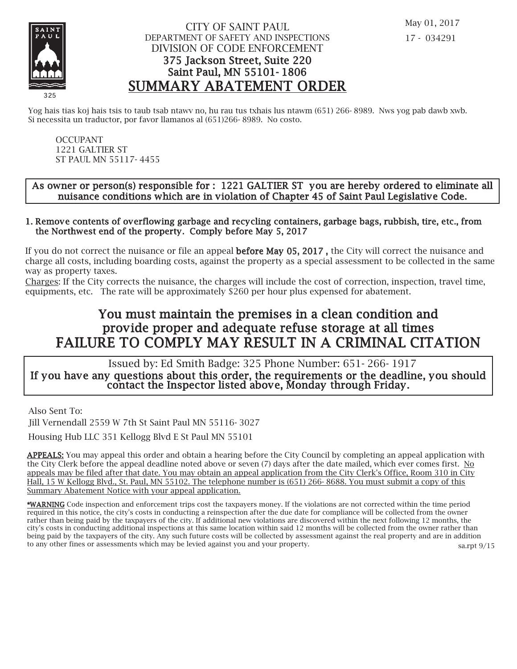

## CITY OF SAINT PAUL DEPARTMENT OF SAFETY AND INSPECTIONS DIVISION OF CODE ENFORCEMENT 375 Jackson Street, Suite 220 Saint Paul, MN 55101- 1806 SUMMARY ABATEMENT ORDER

Yog hais tias koj hais tsis to taub tsab ntawy no, hu rau tus txhais lus ntawm (651) 266-8989. Nws yog pab dawb xwb. Si necessita un traductor, por favor llamanos al (651)266- 8989. No costo.

OCCUPANT 1221 GALTIER ST ST PAUL MN 55117- 4455

### As owner or person(s) responsible for : 1221 GALTIER ST you are hereby ordered to eliminate all nuisance conditions which are in violation of Chapter 45 of Saint Paul Legislative Code.

#### 1. Remove contents of overflowing garbage and recycling containers, garbage bags, rubbish, tire, etc., from the Northwest end of the property. Comply before May 5, 2017

If you do not correct the nuisance or file an appeal **before May 05, 2017**, the City will correct the nuisance and charge all costs, including boarding costs, against the property as a special assessment to be collected in the same way as property taxes.

Charges: If the City corrects the nuisance, the charges will include the cost of correction, inspection, travel time, equipments, etc. The rate will be approximately \$260 per hour plus expensed for abatement.

# You must maintain the premises in a clean condition and prov ide proper and adequate refuse storage at all times FAILURE TO COMPLY MAY RESULT IN A CRIMINAL CITATION

 Issued by: Ed Smith Badge: 325 Phone Number: 651- 266- 1917 If you have any questions about this order, the requirements or the deadline, you should contact the Inspector listed above, Monday through Friday.

Also Sent To:

Jill Vernendall 2559 W 7th St Saint Paul MN 55116- 3027

Housing Hub LLC 351 Kellogg Blvd E St Paul MN 55101

APPEALS: You may appeal this order and obtain a hearing before the City Council by completing an appeal application with the City Clerk before the appeal deadline noted above or seven (7) days after the date mailed, which ever comes first. No appeals may be filed after that date. You may obtain an appeal application from the City Clerk's Office, Room 310 in City Hall, 15 W Kellogg Blvd., St. Paul, MN 55102. The telephone number is (651) 266- 8688. You must submit a copy of this Summary Abatement Notice with your appeal application.

\*WARNING Code inspection and enforcement trips cost the taxpayers money. If the violations are not corrected within the time period required in this notice, the city's costs in conducting a reinspection after the due date for compliance will be collected from the owner rather than being paid by the taxpayers of the city. If additional new violations are discovered within the next following 12 months, the city's costs in conducting additional inspections at this same location within said 12 months will be collected from the owner rather than being paid by the taxpayers of the city. Any such future costs will be collected by assessment against the real property and are in addition to any other fines or assessments which may be levied against you and your property. sa.rpt 9/15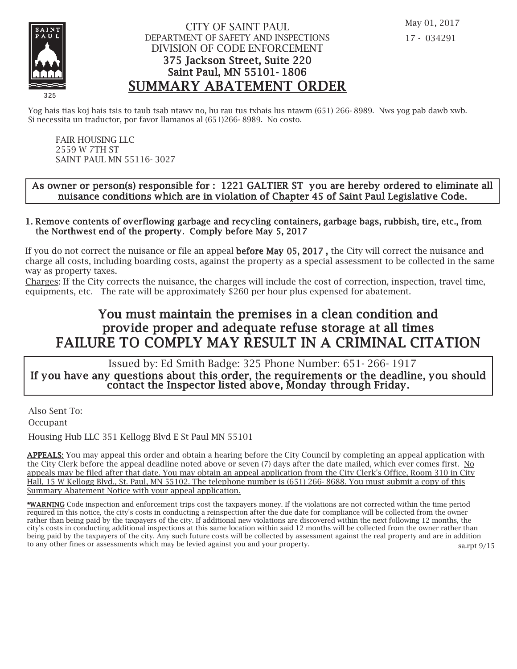

## CITY OF SAINT PAUL DEPARTMENT OF SAFETY AND INSPECTIONS DIVISION OF CODE ENFORCEMENT 375 Jackson Street, Suite 220 Saint Paul, MN 55101- 1806 SUMMARY ABATEMENT ORDER

Yog hais tias koj hais tsis to taub tsab ntawy no, hu rau tus txhais lus ntawm (651) 266-8989. Nws yog pab dawb xwb. Si necessita un traductor, por favor llamanos al (651)266- 8989. No costo.

FAIR HOUSING LLC 2559 W 7TH ST SAINT PAUL MN 55116- 3027

### As owner or person(s) responsible for : 1221 GALTIER ST you are hereby ordered to eliminate all nuisance conditions which are in violation of Chapter 45 of Saint Paul Legislative Code.

#### 1. Remove contents of overflowing garbage and recycling containers, garbage bags, rubbish, tire, etc., from the Northwest end of the property. Comply before May 5, 2017

If you do not correct the nuisance or file an appeal **before May 05, 2017**, the City will correct the nuisance and charge all costs, including boarding costs, against the property as a special assessment to be collected in the same way as property taxes.

Charges: If the City corrects the nuisance, the charges will include the cost of correction, inspection, travel time, equipments, etc. The rate will be approximately \$260 per hour plus expensed for abatement.

# You must maintain the premises in a clean condition and prov ide proper and adequate refuse storage at all times FAILURE TO COMPLY MAY RESULT IN A CRIMINAL CITATION

 Issued by: Ed Smith Badge: 325 Phone Number: 651- 266- 1917 If you have any questions about this order, the requirements or the deadline, you should contact the Inspector listed above, Monday through Friday.

Also Sent To: Occupant

Housing Hub LLC 351 Kellogg Blvd E St Paul MN 55101

APPEALS: You may appeal this order and obtain a hearing before the City Council by completing an appeal application with the City Clerk before the appeal deadline noted above or seven (7) days after the date mailed, which ever comes first. No appeals may be filed after that date. You may obtain an appeal application from the City Clerk's Office, Room 310 in City Hall, 15 W Kellogg Blvd., St. Paul, MN 55102. The telephone number is (651) 266- 8688. You must submit a copy of this Summary Abatement Notice with your appeal application.

\*WARNING Code inspection and enforcement trips cost the taxpayers money. If the violations are not corrected within the time period required in this notice, the city's costs in conducting a reinspection after the due date for compliance will be collected from the owner rather than being paid by the taxpayers of the city. If additional new violations are discovered within the next following 12 months, the city's costs in conducting additional inspections at this same location within said 12 months will be collected from the owner rather than being paid by the taxpayers of the city. Any such future costs will be collected by assessment against the real property and are in addition to any other fines or assessments which may be levied against you and your property. sa.rpt 9/15